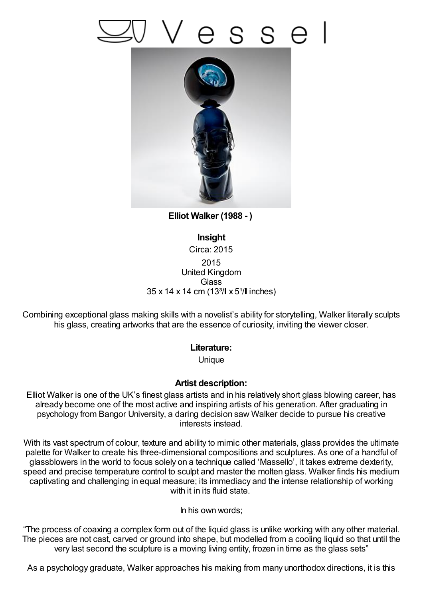## SS e



**Elliot Walker (1988 - )**

**Insight** Circa: 2015 2015 United Kingdom **Glass**  $35 \times 14 \times 14$  cm (13<sup>3</sup>/ $\!\mid$  x 5<sup>1</sup>/ $\!\mid$  inches)

Combining exceptional glass making skills with a novelist's ability for storytelling, Walker literally sculpts his glass, creating artworks that are the essence of curiosity, inviting the viewer closer.

## **Literature:**

**Unique** 

## **Artist description:**

Elliot Walker is one of the UK's finest glass artists and in his relatively short glass blowing career, has already become one of the most active and inspiring artists of his generation. After graduating in psychology from Bangor University, a daring decision saw Walker decide to pursue his creative interests instead.

With its vast spectrum of colour, texture and ability to mimic other materials, glass provides the ultimate palette for Walker to create his three-dimensional compositions and sculptures. As one of a handful of glassblowers in the world to focus solely on a technique called 'Massello', it takes extreme dexterity, speed and precise temperature control to sculpt and master the molten glass. Walker finds his medium captivating and challenging in equal measure; its immediacy and the intense relationship of working with it in its fluid state.

In his own words;

"The process of coaxing a complex form out of the liquid glass is unlike working with any other material. The pieces are not cast, carved or ground into shape, but modelled from a cooling liquid so that until the very last second the sculpture is a moving living entity, frozen in time as the glass sets"

As a psychology graduate, Walker approaches his making from many unorthodox directions, it is this